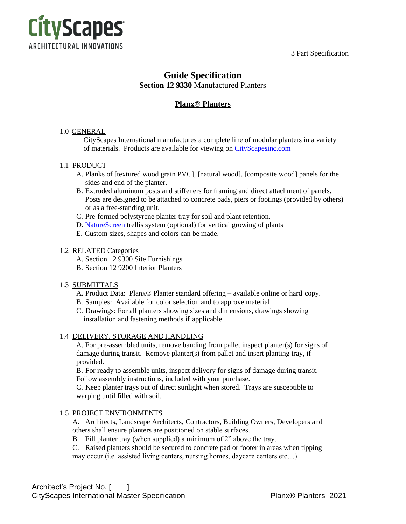3 Part Specification



# **Guide Specification Section 12 9330** Manufactured Planters

# **Planx® Planters**

# 1.0 GENERAL

CityScapes International manufactures a complete line of modular planters in a variety of materials. Products are available for viewing on [CityScapesinc.com](https://cityscapesinc.com/planx/)

# 1.1 PRODUCT

- A. Planks of [textured wood grain PVC], [natural wood], [composite wood] panels for the sides and end of the planter.
- B. Extruded aluminum posts and stiffeners for framing and direct attachment of panels. Posts are designed to be attached to concrete pads, piers or footings (provided by others) or as a free-standing unit.
- C. Pre-formed polystyrene planter tray for soil and plant retention.
- D. [NatureScreen](https://cityscapesinc.com/naturescreen/) trellis system (optional) for vertical growing of plants
- E. Custom sizes, shapes and colors can be made.

### 1.2 RELATED Categories

- A. Section 12 9300 Site Furnishings
- B. Section 12 9200 Interior Planters

### 1.3 SUBMITTALS

- A. Product Data: Planx® Planter standard offering available online or hard copy.
- B. Samples: Available for color selection and to approve material
- C. Drawings: For all planters showing sizes and dimensions, drawings showing installation and fastening methods if applicable.

### 1.4 DELIVERY, STORAGE AND HANDLING

A. For pre-assembled units, remove banding from pallet inspect planter(s) for signs of damage during transit. Remove planter(s) from pallet and insert planting tray, if provided.

B. For ready to assemble units, inspect delivery for signs of damage during transit. Follow assembly instructions, included with your purchase.

C. Keep planter trays out of direct sunlight when stored. Trays are susceptible to warping until filled with soil.

### 1.5 PROJECT ENVIRONMENTS

A. Architects, Landscape Architects, Contractors, Building Owners, Developers and others shall ensure planters are positioned on stable surfaces.

- B. Fill planter tray (when supplied) a minimum of 2" above the tray.
- C. Raised planters should be secured to concrete pad or footer in areas when tipping

may occur (i.e. assisted living centers, nursing homes, daycare centers etc…)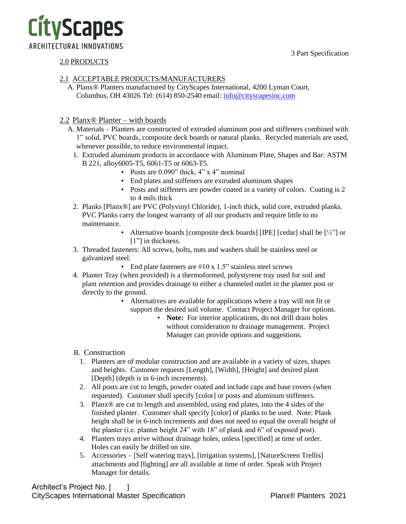3 Part Specification



# 2.0 PRODUCTS

# 2.1 ACCEPTABLE PRODUCTS/MANUFACTURERS

A. Planx® Planters manufactured by CityScapes International, 4200 Lyman Court, Columbus, OH 43026 Tel: (614) 850-2540 email: [info@cityscapesinc.com](mailto:info@cityscapesinc.com)

# 2.2 Planx® Planter – with boards

- A. Materials Planters are constructed of extruded aluminum post and stiffeners combined with 1" solid, PVC boards, composite deck boards or natural planks. Recycled materials are used, whenever possible, to reduce environmental impact.
	- 1. Extruded aluminum products in accordance with Aluminum Plate, Shapes and Bar: ASTM B 221, alloy6005-T5, 6061-T5 or 6063-T5.
		- Posts are 0.090" thick, 4" x 4" nominal
		- End plates and stiffeners are extruded aluminum shapes
		- Posts and stiffeners are powder coated in a variety of colors. Coating is 2 to 4 mils thick
	- 2. Planks [Planx®] are PVC (Polyvinyl Chloride), 1-inch thick, solid core, extruded planks. PVC Planks carry the longest warranty of all our products and require little to no maintenance.
		- Alternative boards [composite deck boards] [IPE] [cedar] shall be [½"] or [1"] in thickness.
	- 3. Threaded fasteners: All screws, bolts, nuts and washers shall be stainless steel or galvanized steel.
		- End plate fasteners are #10 x 1.5" stainless steel screws
	- 4. Planter Tray (when provided) is a thermoformed, polystyrene tray used for soil and plant retention and provides drainage to either a channeled outlet in the planter post or directly to the ground.
		- Alternatives are available for applications where a tray will not fit or support the desired soil volume. Contact Project Manager for options.
			- **Note:** For interior applications, do not drill drain holes without consideration to drainage management. Project Manager can provide options and suggestions.

# B. Construction

- 1. Planters are of modular construction and are available in a variety of sizes, shapes and heights. Customer requests [Length], [Width], [Height] and desired plant [Depth] (depth is in 6-inch increments).
- 2. All posts are cut to length, powder coated and include caps and base covers (when requested). Customer shall specify [color] or posts and aluminum stiffeners.
- 3. Planx® are cut to length and assembled, using end plates, into the 4 sides of the finished planter. Customer shall specify [color] of planks to be used. Note: Plank height shall be in 6-inch increments and does not need to equal the overall height of the planter (i.e. planter height 24" with 18" of plank and 6" of exposed post).
- 4. Planters trays arrive without drainage holes, unless [specified] at time of order. Holes can easily be drilled on site.
- 5. Accessories [Self watering trays], [irrigation systems], [NatureScreen Trellis] attachments and [lighting] are all available at time of order. Speak with Project Manager for details.